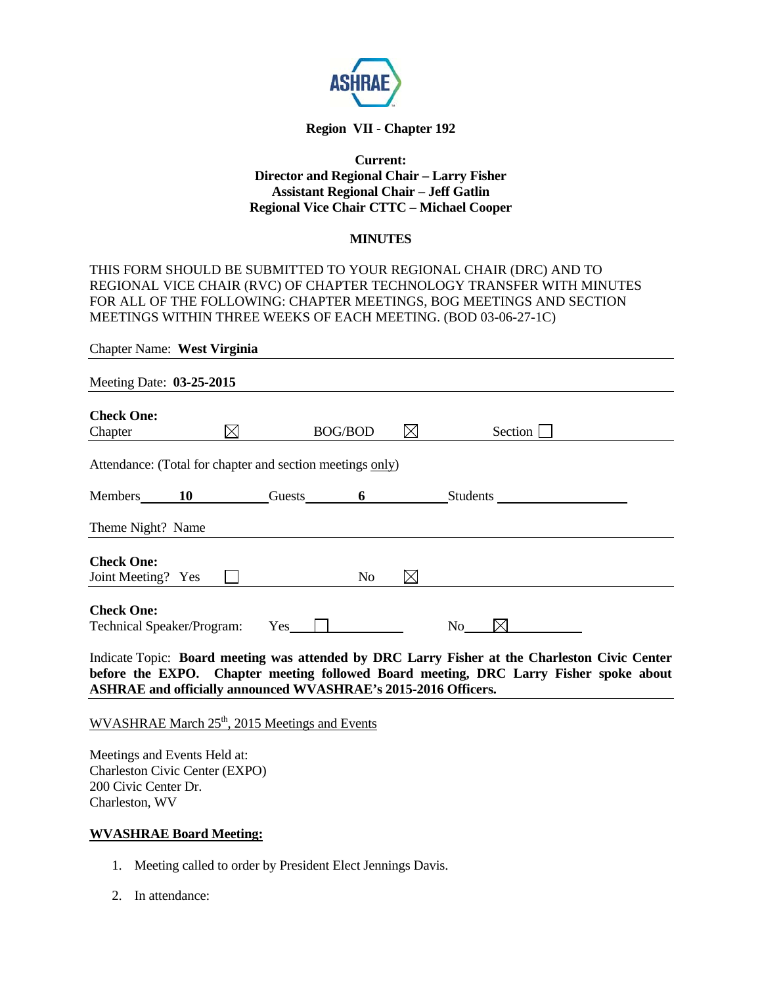

### **Region VII - Chapter 192**

### **Current: Director and Regional Chair – Larry Fisher Assistant Regional Chair – Jeff Gatlin Regional Vice Chair CTTC – Michael Cooper**

#### **MINUTES**

THIS FORM SHOULD BE SUBMITTED TO YOUR REGIONAL CHAIR (DRC) AND TO REGIONAL VICE CHAIR (RVC) OF CHAPTER TECHNOLOGY TRANSFER WITH MINUTES FOR ALL OF THE FOLLOWING: CHAPTER MEETINGS, BOG MEETINGS AND SECTION MEETINGS WITHIN THREE WEEKS OF EACH MEETING. (BOD 03-06-27-1C)

|                                                           | Chapter Name: West Virginia |        |                  |           |          |  |
|-----------------------------------------------------------|-----------------------------|--------|------------------|-----------|----------|--|
| Meeting Date: 03-25-2015                                  |                             |        |                  |           |          |  |
| <b>Check One:</b><br>Chapter                              | $\boxtimes$                 |        | <b>BOG/BOD</b>   | $\bowtie$ | Section  |  |
| Attendance: (Total for chapter and section meetings only) |                             |        |                  |           |          |  |
| Members                                                   | 10                          | Guests | $\boldsymbol{6}$ |           | Students |  |
| Theme Night? Name                                         |                             |        |                  |           |          |  |
| <b>Check One:</b><br>Joint Meeting? Yes                   |                             |        | No               | IХI       |          |  |
| <b>Check One:</b><br>Technical Speaker/Program:           |                             | Yes    |                  |           | No<br>IХ |  |

Indicate Topic: **Board meeting was attended by DRC Larry Fisher at the Charleston Civic Center before the EXPO. Chapter meeting followed Board meeting, DRC Larry Fisher spoke about ASHRAE and officially announced WVASHRAE's 2015-2016 Officers.** 

# WVASHRAE March  $25<sup>th</sup>$ , 2015 Meetings and Events

Meetings and Events Held at: Charleston Civic Center (EXPO) 200 Civic Center Dr. Charleston, WV

#### **WVASHRAE Board Meeting:**

- 1. Meeting called to order by President Elect Jennings Davis.
- 2. In attendance: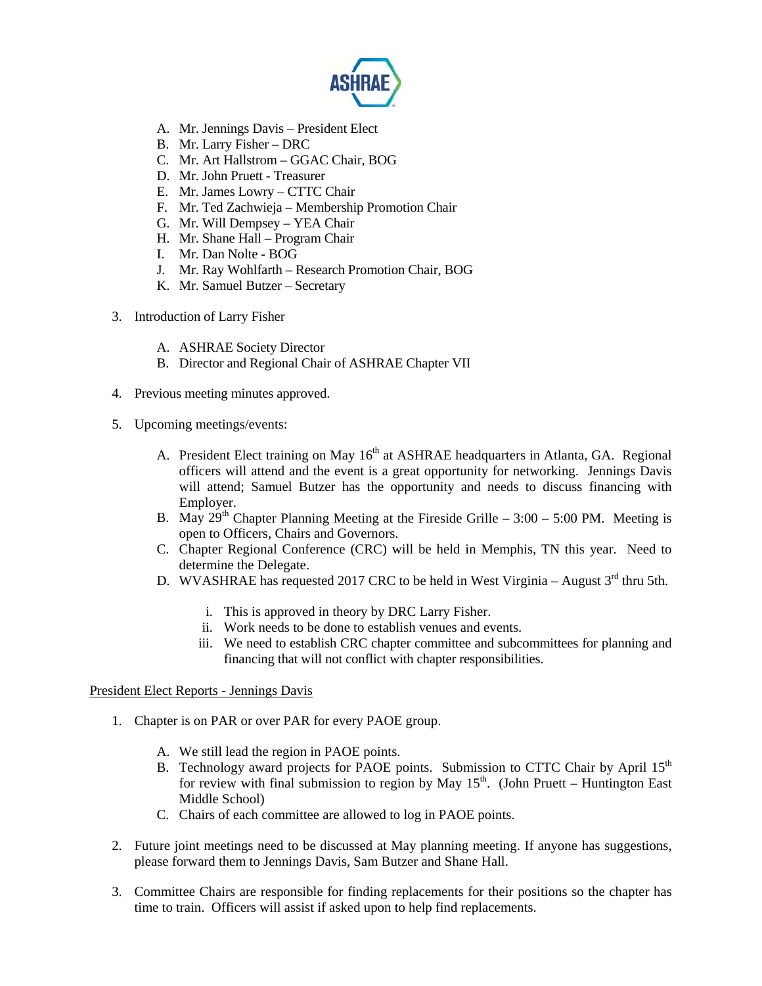

- A. Mr. Jennings Davis President Elect
- B. Mr. Larry Fisher DRC
- C. Mr. Art Hallstrom GGAC Chair, BOG
- D. Mr. John Pruett Treasurer
- E. Mr. James Lowry CTTC Chair
- F. Mr. Ted Zachwieja Membership Promotion Chair
- G. Mr. Will Dempsey YEA Chair
- H. Mr. Shane Hall Program Chair
- I. Mr. Dan Nolte BOG
- J. Mr. Ray Wohlfarth Research Promotion Chair, BOG
- K. Mr. Samuel Butzer Secretary
- 3. Introduction of Larry Fisher
	- A. ASHRAE Society Director
	- B. Director and Regional Chair of ASHRAE Chapter VII
- 4. Previous meeting minutes approved.
- 5. Upcoming meetings/events:
	- A. President Elect training on May  $16<sup>th</sup>$  at ASHRAE headquarters in Atlanta, GA. Regional officers will attend and the event is a great opportunity for networking. Jennings Davis will attend; Samuel Butzer has the opportunity and needs to discuss financing with Employer.
	- B. May  $29<sup>th</sup>$  Chapter Planning Meeting at the Fireside Grille 3:00 5:00 PM. Meeting is open to Officers, Chairs and Governors.
	- C. Chapter Regional Conference (CRC) will be held in Memphis, TN this year. Need to determine the Delegate.
	- D. WVASHRAE has requested 2017 CRC to be held in West Virginia August  $3<sup>rd</sup>$  thru 5th.
		- i. This is approved in theory by DRC Larry Fisher.
		- ii. Work needs to be done to establish venues and events.
		- iii. We need to establish CRC chapter committee and subcommittees for planning and financing that will not conflict with chapter responsibilities.

### President Elect Reports - Jennings Davis

- 1. Chapter is on PAR or over PAR for every PAOE group.
	- A. We still lead the region in PAOE points.
	- B. Technology award projects for PAOE points. Submission to CTTC Chair by April 15<sup>th</sup> for review with final submission to region by May  $15<sup>th</sup>$ . (John Pruett – Huntington East Middle School)
	- C. Chairs of each committee are allowed to log in PAOE points.
- 2. Future joint meetings need to be discussed at May planning meeting. If anyone has suggestions, please forward them to Jennings Davis, Sam Butzer and Shane Hall.
- 3. Committee Chairs are responsible for finding replacements for their positions so the chapter has time to train. Officers will assist if asked upon to help find replacements.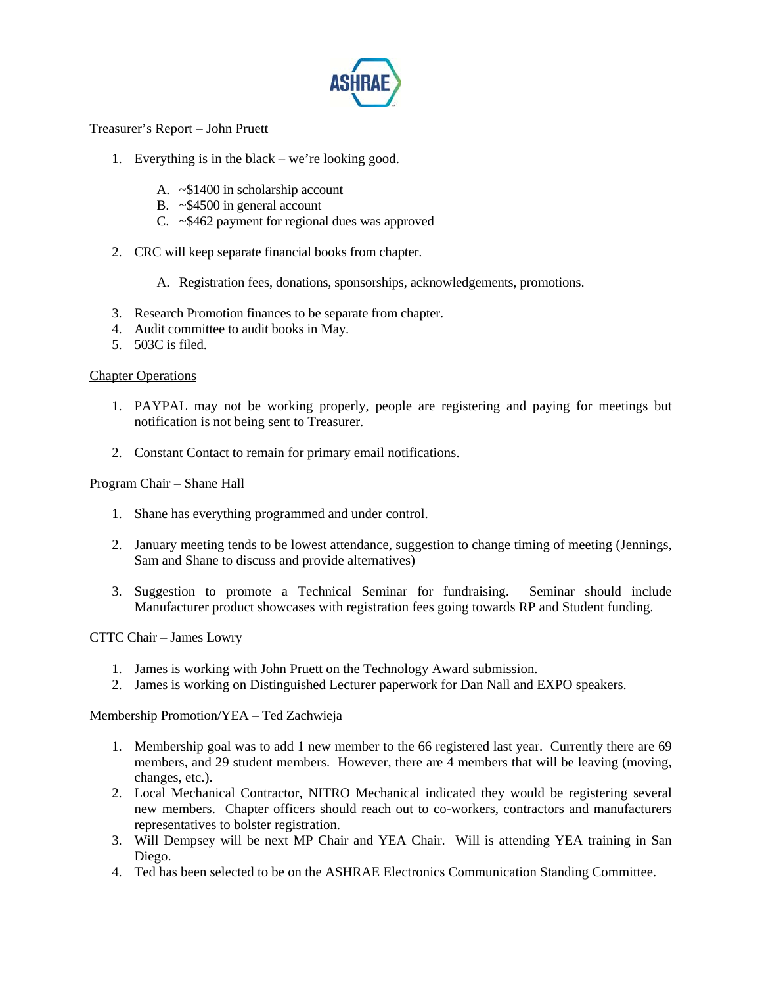

### Treasurer's Report – John Pruett

- 1. Everything is in the black we're looking good.
	- A. ~\$1400 in scholarship account
	- B. ~\$4500 in general account
	- C. ~\$462 payment for regional dues was approved
- 2. CRC will keep separate financial books from chapter.
	- A. Registration fees, donations, sponsorships, acknowledgements, promotions.
- 3. Research Promotion finances to be separate from chapter.
- 4. Audit committee to audit books in May.
- 5. 503C is filed.

#### Chapter Operations

- 1. PAYPAL may not be working properly, people are registering and paying for meetings but notification is not being sent to Treasurer.
- 2. Constant Contact to remain for primary email notifications.

#### Program Chair – Shane Hall

- 1. Shane has everything programmed and under control.
- 2. January meeting tends to be lowest attendance, suggestion to change timing of meeting (Jennings, Sam and Shane to discuss and provide alternatives)
- 3. Suggestion to promote a Technical Seminar for fundraising. Seminar should include Manufacturer product showcases with registration fees going towards RP and Student funding.

#### CTTC Chair – James Lowry

- 1. James is working with John Pruett on the Technology Award submission.
- 2. James is working on Distinguished Lecturer paperwork for Dan Nall and EXPO speakers.

#### Membership Promotion/YEA – Ted Zachwieja

- 1. Membership goal was to add 1 new member to the 66 registered last year. Currently there are 69 members, and 29 student members. However, there are 4 members that will be leaving (moving, changes, etc.).
- 2. Local Mechanical Contractor, NITRO Mechanical indicated they would be registering several new members. Chapter officers should reach out to co-workers, contractors and manufacturers representatives to bolster registration.
- 3. Will Dempsey will be next MP Chair and YEA Chair. Will is attending YEA training in San Diego.
- 4. Ted has been selected to be on the ASHRAE Electronics Communication Standing Committee.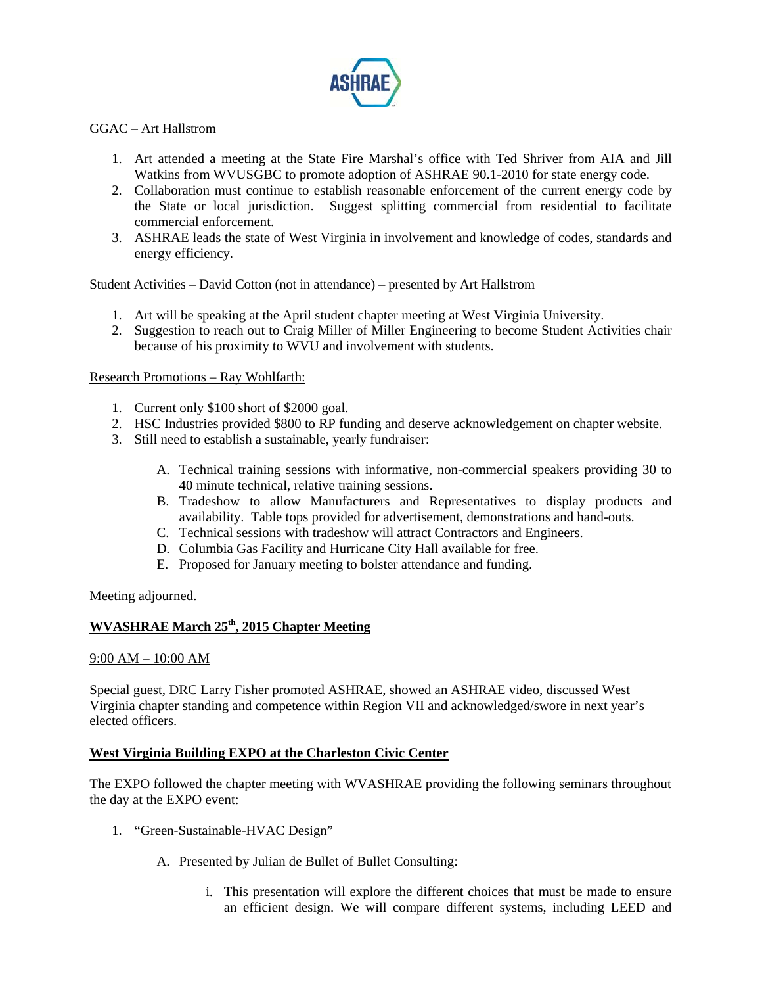

### GGAC – Art Hallstrom

- 1. Art attended a meeting at the State Fire Marshal's office with Ted Shriver from AIA and Jill Watkins from WVUSGBC to promote adoption of ASHRAE 90.1-2010 for state energy code.
- 2. Collaboration must continue to establish reasonable enforcement of the current energy code by the State or local jurisdiction. Suggest splitting commercial from residential to facilitate commercial enforcement.
- 3. ASHRAE leads the state of West Virginia in involvement and knowledge of codes, standards and energy efficiency.

### Student Activities – David Cotton (not in attendance) – presented by Art Hallstrom

- 1. Art will be speaking at the April student chapter meeting at West Virginia University.
- 2. Suggestion to reach out to Craig Miller of Miller Engineering to become Student Activities chair because of his proximity to WVU and involvement with students.

### Research Promotions – Ray Wohlfarth:

- 1. Current only \$100 short of \$2000 goal.
- 2. HSC Industries provided \$800 to RP funding and deserve acknowledgement on chapter website.
- 3. Still need to establish a sustainable, yearly fundraiser:
	- A. Technical training sessions with informative, non-commercial speakers providing 30 to 40 minute technical, relative training sessions.
	- B. Tradeshow to allow Manufacturers and Representatives to display products and availability. Table tops provided for advertisement, demonstrations and hand-outs.
	- C. Technical sessions with tradeshow will attract Contractors and Engineers.
	- D. Columbia Gas Facility and Hurricane City Hall available for free.
	- E. Proposed for January meeting to bolster attendance and funding.

Meeting adjourned.

## **WVASHRAE March 25th, 2015 Chapter Meeting**

### 9:00 AM – 10:00 AM

Special guest, DRC Larry Fisher promoted ASHRAE, showed an ASHRAE video, discussed West Virginia chapter standing and competence within Region VII and acknowledged/swore in next year's elected officers.

### **West Virginia Building EXPO at the Charleston Civic Center**

The EXPO followed the chapter meeting with WVASHRAE providing the following seminars throughout the day at the EXPO event:

- 1. "Green-Sustainable-HVAC Design"
	- A. Presented by Julian de Bullet of Bullet Consulting:
		- i. This presentation will explore the different choices that must be made to ensure an efficient design. We will compare different systems, including LEED and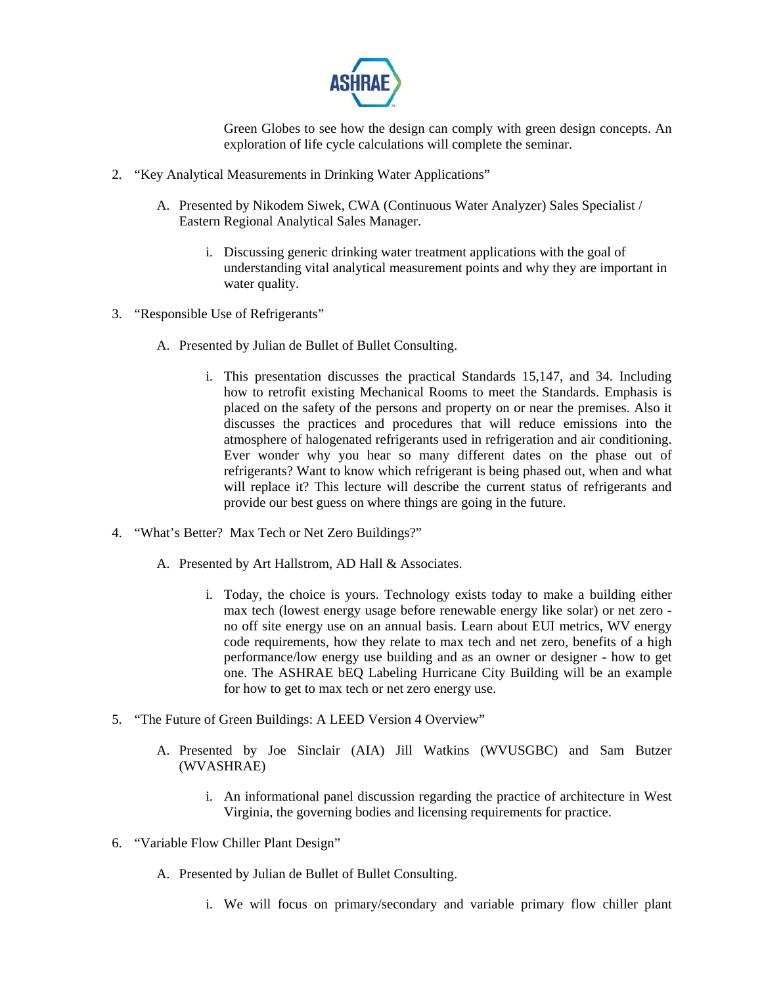

Green Globes to see how the design can comply with green design concepts. An exploration of life cycle calculations will complete the seminar.

- 2. "Key Analytical Measurements in Drinking Water Applications"
	- A. Presented by Nikodem Siwek, CWA (Continuous Water Analyzer) Sales Specialist / Eastern Regional Analytical Sales Manager.
		- i. Discussing generic drinking water treatment applications with the goal of understanding vital analytical measurement points and why they are important in water quality.
- 3. "Responsible Use of Refrigerants"
	- A. Presented by Julian de Bullet of Bullet Consulting.
		- i. This presentation discusses the practical Standards 15,147, and 34. Including how to retrofit existing Mechanical Rooms to meet the Standards. Emphasis is placed on the safety of the persons and property on or near the premises. Also it discusses the practices and procedures that will reduce emissions into the atmosphere of halogenated refrigerants used in refrigeration and air conditioning. Ever wonder why you hear so many different dates on the phase out of refrigerants? Want to know which refrigerant is being phased out, when and what will replace it? This lecture will describe the current status of refrigerants and provide our best guess on where things are going in the future.
- 4. "What's Better? Max Tech or Net Zero Buildings?"
	- A. Presented by Art Hallstrom, AD Hall & Associates.
		- i. Today, the choice is yours. Technology exists today to make a building either max tech (lowest energy usage before renewable energy like solar) or net zero no off site energy use on an annual basis. Learn about EUI metrics, WV energy code requirements, how they relate to max tech and net zero, benefits of a high performance/low energy use building and as an owner or designer - how to get one. The ASHRAE bEQ Labeling Hurricane City Building will be an example for how to get to max tech or net zero energy use.
- 5. "The Future of Green Buildings: A LEED Version 4 Overview"
	- A. Presented by Joe Sinclair (AIA) Jill Watkins (WVUSGBC) and Sam Butzer (WVASHRAE)
		- i. An informational panel discussion regarding the practice of architecture in West Virginia, the governing bodies and licensing requirements for practice.
- 6. "Variable Flow Chiller Plant Design"
	- A. Presented by Julian de Bullet of Bullet Consulting.
		- i. We will focus on primary/secondary and variable primary flow chiller plant